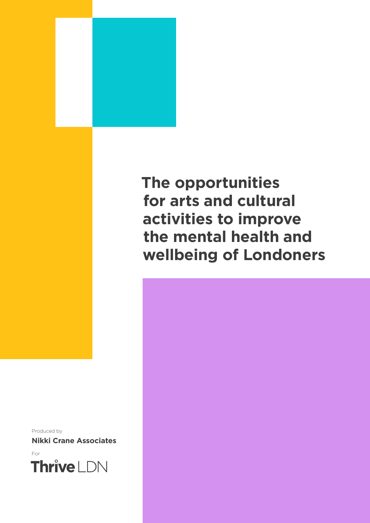

### **The opportunities for arts and cultural activities to improve the mental health and wellbeing of Londoners**

Produced by

**Nikki Crane Associates**

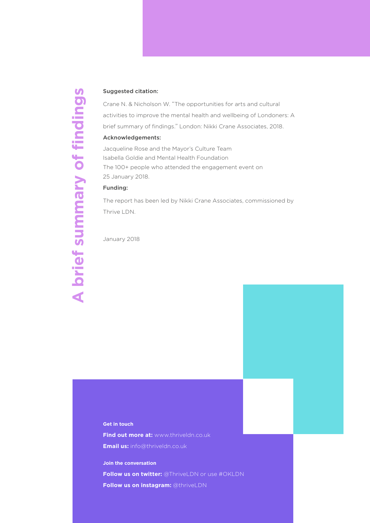#### Suggested citation:

Crane N. & Nicholson W. "The opportunities for arts and cultural activities to improve the mental health and wellbeing of Londoners: A brief summary of findings." London: Nikki Crane Associates, 2018.

#### Acknowledgements:

Jacqueline Rose and the Mayor's Culture Team Isabella Goldie and Mental Health Foundation The 100+ people who attended the engagement event on 25 January 2018.

#### Funding:

A brief summary of findings **A brief summary of findings**

The report has been led by Nikki Crane Associates, commissioned by Thrive LDN.

January 2018

#### **Get in touch**

**Find out more at:** www.thriveldn.co.uk

**Email us:** info@thriveldn.co.uk

**Join the conversation**

**Follow us on twitter:** @ThriveLDN or use #OKLDN

**Follow us on instagram:** @thriveLDN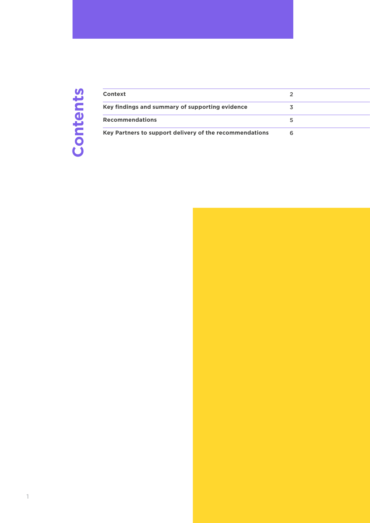## Contents **Contents**

| Context                                                 |  |
|---------------------------------------------------------|--|
| Key findings and summary of supporting evidence         |  |
| <b>Recommendations</b>                                  |  |
| Key Partners to support delivery of the recommendations |  |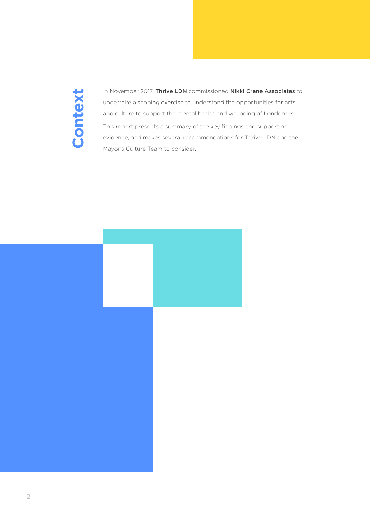### <span id="page-3-0"></span>Context **Context**

In November 2017, Thrive LDN commissioned Nikki Crane Associates to undertake a scoping exercise to understand the opportunities for arts and culture to support the mental health and wellbeing of Londoners. This report presents a summary of the key findings and supporting evidence, and makes several recommendations for Thrive LDN and the Mayor's Culture Team to consider.

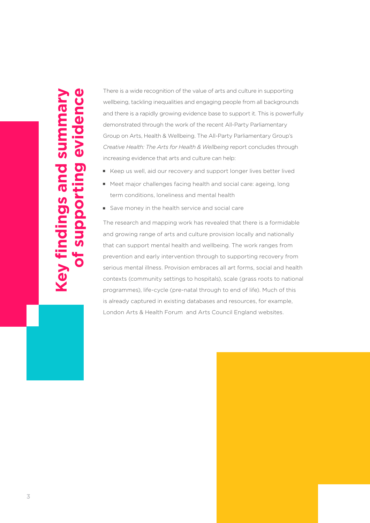## **Key findings and summary of supporting evidence**  of supporting evidence Sum **Key findings and**

There is a wide recognition of the value of arts and culture in supporting wellbeing, tackling inequalities and engaging people from all backgrounds and there is a rapidly growing evidence base to support it. This is powerfully demonstrated through the work of the recent All-Party Parliamentary Group on Arts, Health & Wellbeing. The All-Party Parliamentary Group's *Creative Health: The Arts for Health & Wellbeing* report concludes through increasing evidence that arts and culture can help:

- E Keep us well, aid our recovery and support longer lives better lived
- veet major challenges facing health and social care: ageing, long term conditions, loneliness and mental health
- Save money in the health service and social care

The research and mapping work has revealed that there is a formidable and growing range of arts and culture provision locally and nationally that can support mental health and wellbeing. The work ranges from prevention and early intervention through to supporting recovery from serious mental illness. Provision embraces all art forms, social and health contexts (community settings to hospitals), scale (grass roots to national programmes), life-cycle (pre-natal through to end of life). Much of this is already captured in existing databases and resources, for example, London Arts & Health Forum and Arts Council England websites.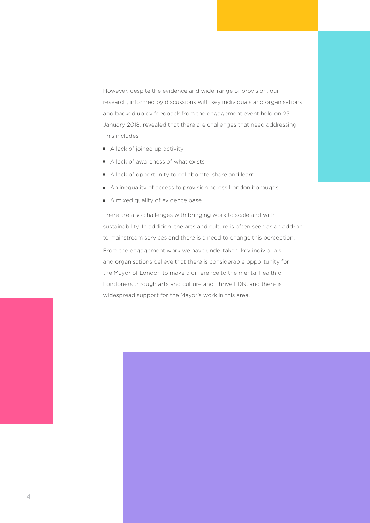However, despite the evidence and wide-range of provision, our research, informed by discussions with key individuals and organisations and backed up by feedback from the engagement event held on 25 January 2018, revealed that there are challenges that need addressing. This includes:

- A lack of joined up activity
- $\blacksquare$  A lack of awareness of what exists
- A lack of opportunity to collaborate, share and learn
- An inequality of access to provision across London boroughs
- A mixed quality of evidence base

There are also challenges with bringing work to scale and with sustainability. In addition, the arts and culture is often seen as an add-on to mainstream services and there is a need to change this perception. From the engagement work we have undertaken, key individuals and organisations believe that there is considerable opportunity for the Mayor of London to make a difference to the mental health of Londoners through arts and culture and Thrive LDN, and there is widespread support for the Mayor's work in this area.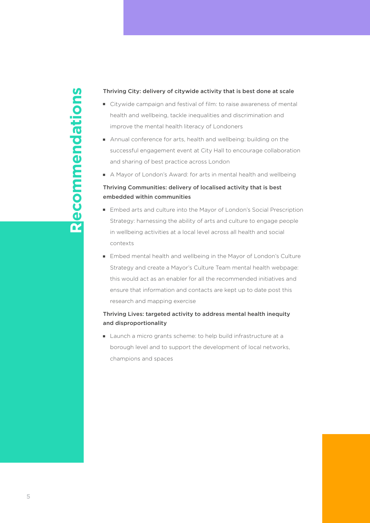# ecommendations **R ecommendations** $\overline{\mathbf{\alpha}}$

#### Thriving City: delivery of citywide activity that is best done at scale

- Citywide campaign and festival of film: to raise awareness of mental health and wellbeing, tackle inequalities and discrimination and improve the mental health literacy of Londoners
- Annual conference for arts, health and wellbeing: building on the successful engagement event at City Hall to encourage collaboration and sharing of best practice across London
- A Mayor of London's Award: for arts in mental health and wellbeing

#### Thriving Communities: delivery of localised activity that is best embedded within communities

- Embed arts and culture into the Mayor of London's Social Prescription Strategy: harnessing the ability of arts and culture to engage people in wellbeing activities at a local level across all health and social contexts
- Embed mental health and wellbeing in the Mayor of London's Culture Strategy and create a Mayor's Culture Team mental health webpage: this would act as an enabler for all the recommended initiatives and ensure that information and contacts are kept up to date post this research and mapping exercise

#### Thriving Lives: targeted activity to address mental health inequity and disproportionality

I Launch a micro grants scheme: to help build infrastructure at a borough level and to support the development of local networks, champions and spaces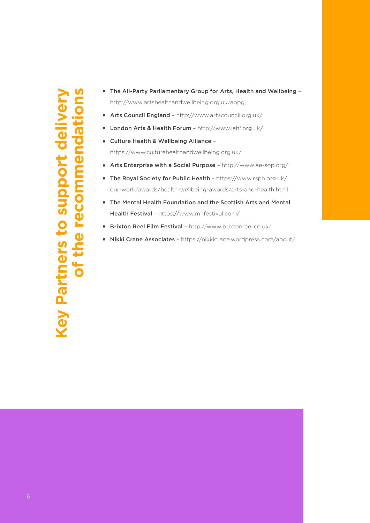# **Key Partners to support delivery of the recommendations**upport del of the recomme **Key Partners to**

- The All-Party Parliamentary Group for Arts, Health and Wellbeing http://www.artshealthandwellbeing.org.uk/appg
- **Arts Council England http://www.artscouncil.org.uk/**
- **E** London Arts & Health Forum http://www.lahf.org.uk/
- Culture Health & Wellbeing Alliance https://www.culturehealthandwellbeing.org.uk/
- **F** Arts Enterprise with a Social Purpose http://www.ae-sop.org/
- The Royal Society for Public Health https://www.rsph.org.uk/ our-work/awards/health-wellbeing-awards/arts-and-health.html
- The Mental Health Foundation and the Scottish Arts and Mental Health Festival – https://www.mhfestival.com/
- Brixton Reel Film Festival http://www.brixtonreel.co.uk/
- Nikki Crane Associates https://nikkicrane.wordpress.com/about/